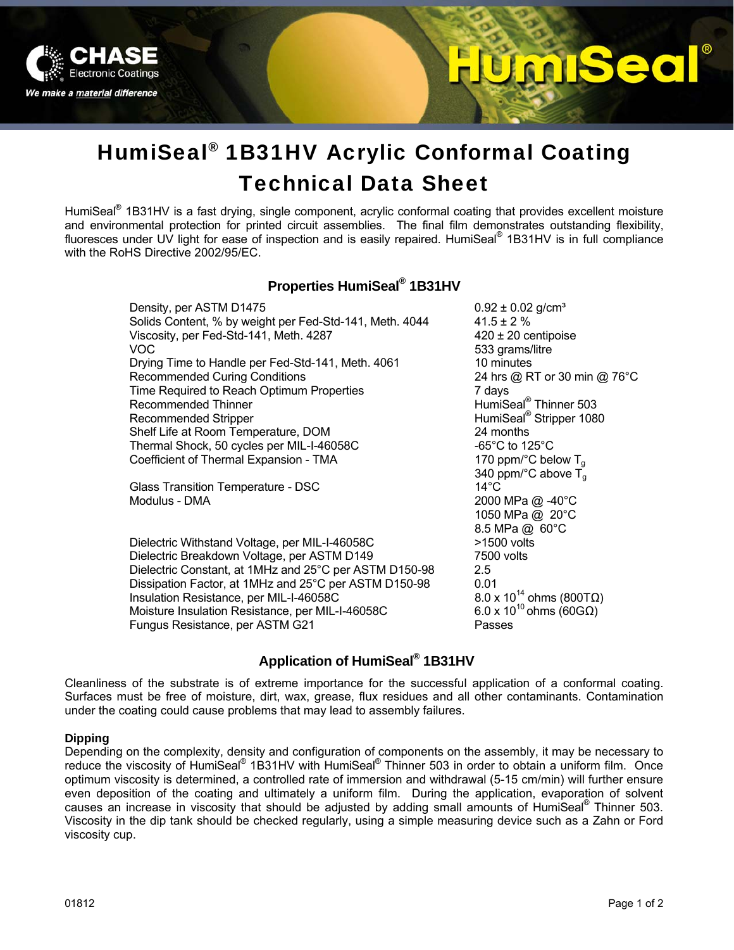

# UmBeo

# HumiSeal® 1B31HV Acrylic Conformal Coating Technical Data Sheet

HumiSeal<sup>®</sup> 1B31HV is a fast drying, single component, acrylic conformal coating that provides excellent moisture and environmental protection for printed circuit assemblies. The final film demonstrates outstanding flexibility, fluoresces under UV light for ease of inspection and is easily repaired. HumiSeal® 1B31HV is in full compliance with the RoHS Directive 2002/95/EC.

### **Properties HumiSeal® 1B31HV**

| Density, per ASTM D1475                                 | $0.92 \pm 0.02$ g/cm <sup>3</sup>           |
|---------------------------------------------------------|---------------------------------------------|
| Solids Content, % by weight per Fed-Std-141, Meth. 4044 | $41.5 \pm 2 \%$                             |
| Viscosity, per Fed-Std-141, Meth. 4287                  | $420 \pm 20$ centipoise                     |
| VOC.                                                    | 533 grams/litre                             |
| Drying Time to Handle per Fed-Std-141, Meth. 4061       | 10 minutes                                  |
| <b>Recommended Curing Conditions</b>                    | 24 hrs @ RT or 30 min @ 76°C                |
| Time Required to Reach Optimum Properties               | 7 days                                      |
| Recommended Thinner                                     | HumiSeal <sup>®</sup> Thinner 503           |
| Recommended Stripper                                    | HumiSeal <sup>®</sup> Stripper 1080         |
| Shelf Life at Room Temperature, DOM                     | 24 months                                   |
| Thermal Shock, 50 cycles per MIL-I-46058C               | -65 $^{\circ}$ C to 125 $^{\circ}$ C        |
| Coefficient of Thermal Expansion - TMA                  | 170 ppm/ $\degree$ C below T <sub>a</sub>   |
|                                                         | 340 ppm/ $^{\circ}$ C above T <sub>a</sub>  |
| Glass Transition Temperature - DSC                      | $14^{\circ}$ C                              |
| Modulus - DMA                                           | 2000 MPa @ -40°C                            |
|                                                         | 1050 MPa @ 20°C                             |
|                                                         | 8.5 MPa @ 60°C                              |
| Dielectric Withstand Voltage, per MIL-I-46058C          | >1500 volts                                 |
| Dielectric Breakdown Voltage, per ASTM D149             | 7500 volts                                  |
| Dielectric Constant, at 1MHz and 25°C per ASTM D150-98  | $2.5^{\circ}$                               |
| Dissipation Factor, at 1MHz and 25°C per ASTM D150-98   | 0.01                                        |
| Insulation Resistance, per MIL-I-46058C                 | $8.0 \times 10^{14}$ ohms (800T $\Omega$ )  |
| Moisture Insulation Resistance, per MIL-I-46058C        | 6.0 x 10 <sup>10</sup> ohms (60G $\Omega$ ) |
| Fungus Resistance, per ASTM G21                         | Passes                                      |

# **Application of HumiSeal® 1B31HV**

Cleanliness of the substrate is of extreme importance for the successful application of a conformal coating. Surfaces must be free of moisture, dirt, wax, grease, flux residues and all other contaminants. Contamination under the coating could cause problems that may lead to assembly failures.

#### **Dipping**

Depending on the complexity, density and configuration of components on the assembly, it may be necessary to reduce the viscosity of HumiSeal® 1B31HV with HumiSeal® Thinner 503 in order to obtain a uniform film. Once optimum viscosity is determined, a controlled rate of immersion and withdrawal (5-15 cm/min) will further ensure even deposition of the coating and ultimately a uniform film. During the application, evaporation of solvent causes an increase in viscosity that should be adjusted by adding small amounts of HumiSeal® Thinner 503. Viscosity in the dip tank should be checked regularly, using a simple measuring device such as a Zahn or Ford viscosity cup.